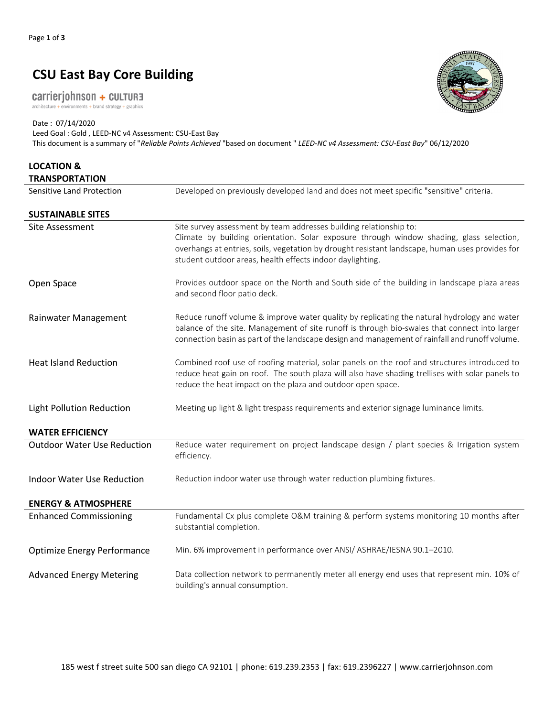## **CSU East Bay Core Building**

carrierjohnson + CULTURE architecture + environments + brand strategy + graphics

Date : 07/14/2020 Leed Goal : Gold , LEED-NC v4 Assessment: CSU-East Bay This document is a summary of "*Reliable Points Achieved* "based on document " *LEED-NC v4 Assessment: CSU-East Bay*" 06/12/2020

| <b>LOCATION &amp;</b><br><b>TRANSPORTATION</b> |                                                                                                                                                                                                                                                                                                                                |
|------------------------------------------------|--------------------------------------------------------------------------------------------------------------------------------------------------------------------------------------------------------------------------------------------------------------------------------------------------------------------------------|
| Sensitive Land Protection                      | Developed on previously developed land and does not meet specific "sensitive" criteria.                                                                                                                                                                                                                                        |
| <b>SUSTAINABLE SITES</b>                       |                                                                                                                                                                                                                                                                                                                                |
| <b>Site Assessment</b>                         | Site survey assessment by team addresses building relationship to:<br>Climate by building orientation. Solar exposure through window shading, glass selection,<br>overhangs at entries, soils, vegetation by drought resistant landscape, human uses provides for<br>student outdoor areas, health effects indoor daylighting. |
| Open Space                                     | Provides outdoor space on the North and South side of the building in landscape plaza areas<br>and second floor patio deck.                                                                                                                                                                                                    |
| Rainwater Management                           | Reduce runoff volume & improve water quality by replicating the natural hydrology and water<br>balance of the site. Management of site runoff is through bio-swales that connect into larger<br>connection basin as part of the landscape design and management of rainfall and runoff volume.                                 |
| <b>Heat Island Reduction</b>                   | Combined roof use of roofing material, solar panels on the roof and structures introduced to<br>reduce heat gain on roof. The south plaza will also have shading trellises with solar panels to<br>reduce the heat impact on the plaza and outdoor open space.                                                                 |
| <b>Light Pollution Reduction</b>               | Meeting up light & light trespass requirements and exterior signage luminance limits.                                                                                                                                                                                                                                          |
| <b>WATER EFFICIENCY</b>                        |                                                                                                                                                                                                                                                                                                                                |
| <b>Outdoor Water Use Reduction</b>             | Reduce water requirement on project landscape design / plant species & Irrigation system<br>efficiency.                                                                                                                                                                                                                        |
| <b>Indoor Water Use Reduction</b>              | Reduction indoor water use through water reduction plumbing fixtures.                                                                                                                                                                                                                                                          |
| <b>ENERGY &amp; ATMOSPHERE</b>                 |                                                                                                                                                                                                                                                                                                                                |
| <b>Enhanced Commissioning</b>                  | Fundamental Cx plus complete O&M training & perform systems monitoring 10 months after<br>substantial completion.                                                                                                                                                                                                              |
| <b>Optimize Energy Performance</b>             | Min. 6% improvement in performance over ANSI/ ASHRAE/IESNA 90.1-2010.                                                                                                                                                                                                                                                          |
| <b>Advanced Energy Metering</b>                | Data collection network to permanently meter all energy end uses that represent min. 10% of<br>building's annual consumption.                                                                                                                                                                                                  |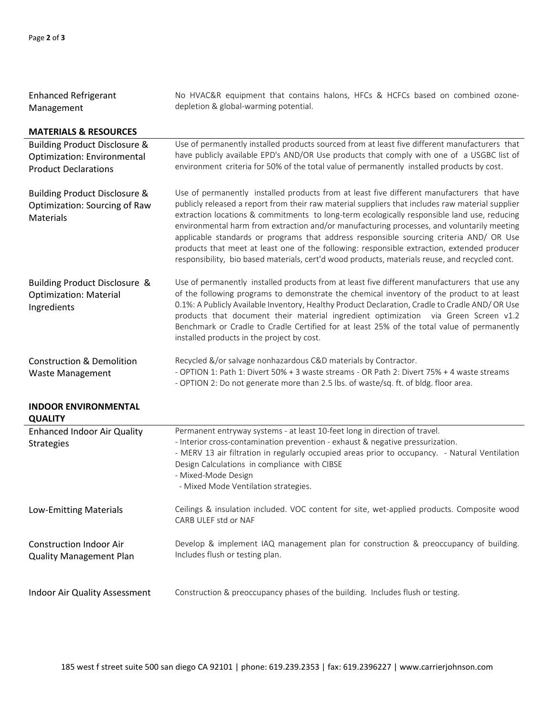| <b>Enhanced Refrigerant</b><br>Management                                                                     | No HVAC&R equipment that contains halons, HFCs & HCFCs based on combined ozone-<br>depletion & global-warming potential.                                                                                                                                                                                                                                                                                                                                                                                                                                                                                                                                                                |
|---------------------------------------------------------------------------------------------------------------|-----------------------------------------------------------------------------------------------------------------------------------------------------------------------------------------------------------------------------------------------------------------------------------------------------------------------------------------------------------------------------------------------------------------------------------------------------------------------------------------------------------------------------------------------------------------------------------------------------------------------------------------------------------------------------------------|
| <b>MATERIALS &amp; RESOURCES</b>                                                                              |                                                                                                                                                                                                                                                                                                                                                                                                                                                                                                                                                                                                                                                                                         |
| <b>Building Product Disclosure &amp;</b><br><b>Optimization: Environmental</b><br><b>Product Declarations</b> | Use of permanently installed products sourced from at least five different manufacturers that<br>have publicly available EPD's AND/OR Use products that comply with one of a USGBC list of<br>environment criteria for 50% of the total value of permanently installed products by cost.                                                                                                                                                                                                                                                                                                                                                                                                |
| Building Product Disclosure &<br>Optimization: Sourcing of Raw<br>Materials                                   | Use of permanently installed products from at least five different manufacturers that have<br>publicly released a report from their raw material suppliers that includes raw material supplier<br>extraction locations & commitments to long-term ecologically responsible land use, reducing<br>environmental harm from extraction and/or manufacturing processes, and voluntarily meeting<br>applicable standards or programs that address responsible sourcing criteria AND/ OR Use<br>products that meet at least one of the following: responsible extraction, extended producer<br>responsibility, bio based materials, cert'd wood products, materials reuse, and recycled cont. |
| Building Product Disclosure &<br><b>Optimization: Material</b><br>Ingredients                                 | Use of permanently installed products from at least five different manufacturers that use any<br>of the following programs to demonstrate the chemical inventory of the product to at least<br>0.1%: A Publicly Available Inventory, Healthy Product Declaration, Cradle to Cradle AND/ OR Use<br>products that document their material ingredient optimization via Green Screen v1.2<br>Benchmark or Cradle to Cradle Certified for at least 25% of the total value of permanently<br>installed products in the project by cost.                                                                                                                                                       |
| <b>Construction &amp; Demolition</b><br><b>Waste Management</b>                                               | Recycled &/or salvage nonhazardous C&D materials by Contractor.<br>- OPTION 1: Path 1: Divert 50% + 3 waste streams - OR Path 2: Divert 75% + 4 waste streams<br>- OPTION 2: Do not generate more than 2.5 lbs. of waste/sq. ft. of bldg. floor area.                                                                                                                                                                                                                                                                                                                                                                                                                                   |

| <b>INDOOR ENVIRONMENTAL</b><br><b>QUALITY</b>                    |                                                                                                                                                                                                                                                                                                                                                                               |
|------------------------------------------------------------------|-------------------------------------------------------------------------------------------------------------------------------------------------------------------------------------------------------------------------------------------------------------------------------------------------------------------------------------------------------------------------------|
| <b>Enhanced Indoor Air Quality</b><br><b>Strategies</b>          | Permanent entryway systems - at least 10-feet long in direction of travel.<br>- Interior cross-contamination prevention - exhaust & negative pressurization.<br>- MERV 13 air filtration in regularly occupied areas prior to occupancy. - Natural Ventilation<br>Design Calculations in compliance with CIBSE<br>- Mixed-Mode Design<br>- Mixed Mode Ventilation strategies. |
| Low-Emitting Materials                                           | Ceilings & insulation included. VOC content for site, wet-applied products. Composite wood<br>CARB ULEF std or NAF                                                                                                                                                                                                                                                            |
| <b>Construction Indoor Air</b><br><b>Quality Management Plan</b> | Develop & implement IAQ management plan for construction & preoccupancy of building.<br>Includes flush or testing plan.                                                                                                                                                                                                                                                       |
| Indoor Air Quality Assessment                                    | Construction & preoccupancy phases of the building. Includes flush or testing.                                                                                                                                                                                                                                                                                                |